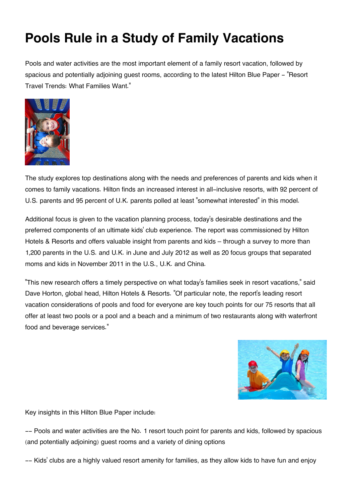## **Pools Rule in a Study of Family Vacations**

Pools and water activities are the most important element of a family resort vacation, followed by spacious and potentially adjoining guest rooms, according to the latest Hilton Blue Paper - "Resort Travel Trends: What Families Want."



The study explores top destinations along with the needs and preferences of parents and kids when it comes to family vacations. Hilton finds an increased interest in all-inclusive resorts, with 92 percent of U.S. parents and 95 percent of U.K. parents polled at least "somewhat interested" in this model.

Additional focus is given to the vacation planning process, today's desirable destinations and the preferred components of an ultimate kids' club experience. The report was commissioned by Hilton Hotels & Resorts and offers valuable insight from parents and kids – through a survey to more than 1,200 parents in the U.S. and U.K. in June and July 2012 as well as 20 focus groups that separated moms and kids in November 2011 in the U.S., U.K. and China.

"This new research offers a timely perspective on what today's families seek in resort vacations," said Dave Horton, global head, Hilton Hotels & Resorts. "Of particular note, the report's leading resort vacation considerations of pools and food for everyone are key touch points for our 75 resorts that all offer at least two pools or a pool and a beach and a minimum of two restaurants along with waterfront food and beverage services."



Key insights in this Hilton Blue Paper include:

-- Pools and water activities are the No. 1 resort touch point for parents and kids, followed by spacious (and potentially adjoining) guest rooms and a variety of dining options

-- Kids' clubs are a highly valued resort amenity for families, as they allow kids to have fun and enjoy